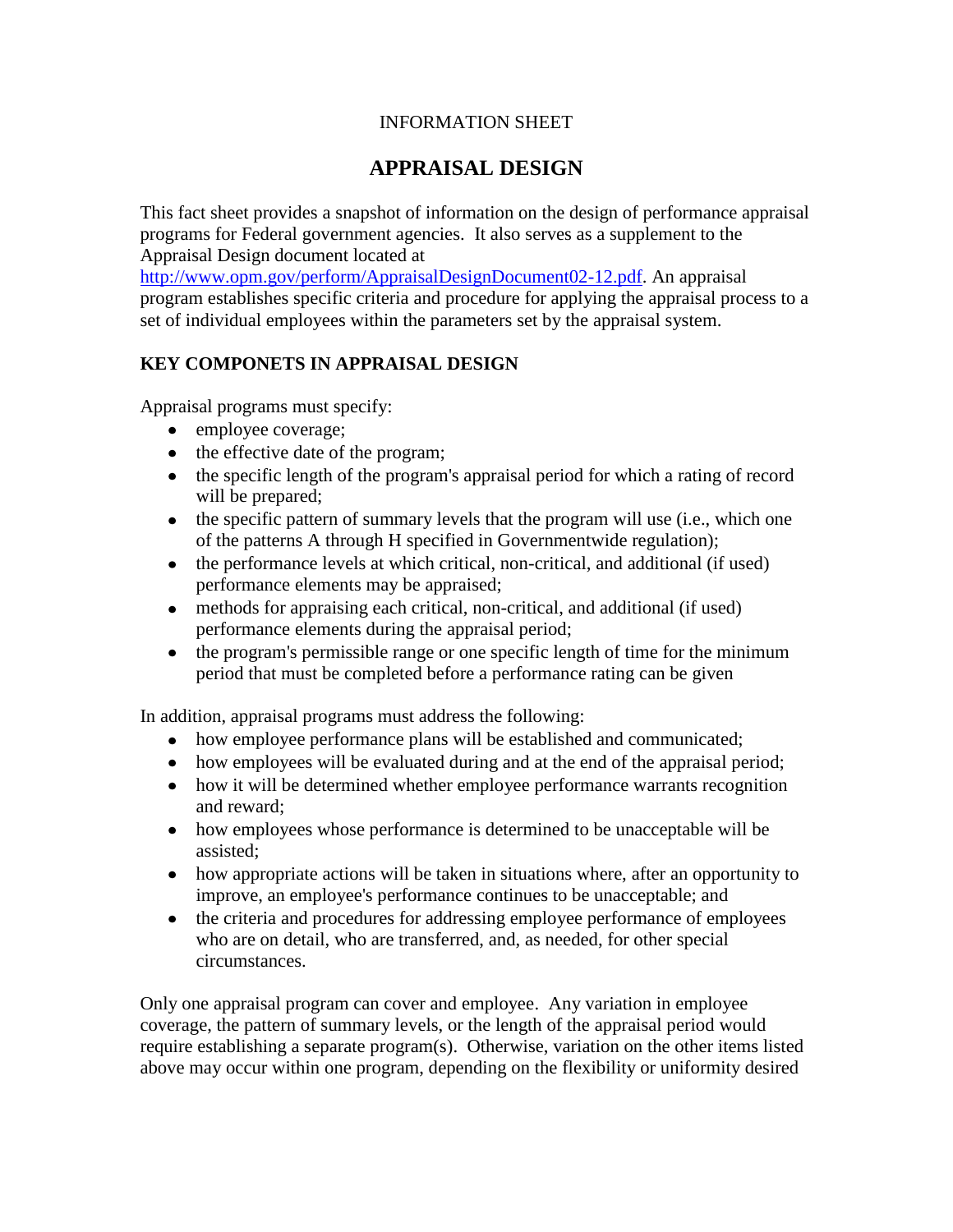## INFORMATION SHEET

## **APPRAISAL DESIGN**

This fact sheet provides a snapshot of information on the design of performance appraisal programs for Federal government agencies. It also serves as a supplement to the Appraisal Design document located at

[http://www.opm.gov/perform/AppraisalDesignDocument02-12.pdf.](http://www.opm.gov/perform/AppraisalDesignDocument02-12.pdf) An appraisal program establishes specific criteria and procedure for applying the appraisal process to a set of individual employees within the parameters set by the appraisal system.

## **KEY COMPONETS IN APPRAISAL DESIGN**

Appraisal programs must specify:

- employee coverage;
- the effective date of the program;
- the specific length of the program's appraisal period for which a rating of record will be prepared;
- $\bullet$  the specific pattern of summary levels that the program will use (i.e., which one of the patterns A through H specified in Governmentwide regulation);
- the performance levels at which critical, non-critical, and additional (if used) performance elements may be appraised;
- methods for appraising each critical, non-critical, and additional (if used) performance elements during the appraisal period;
- the program's permissible range or one specific length of time for the minimum period that must be completed before a performance rating can be given

In addition, appraisal programs must address the following:

- how employee performance plans will be established and communicated;
- how employees will be evaluated during and at the end of the appraisal period;
- how it will be determined whether employee performance warrants recognition and reward;
- how employees whose performance is determined to be unacceptable will be assisted;
- how appropriate actions will be taken in situations where, after an opportunity to improve, an employee's performance continues to be unacceptable; and
- the criteria and procedures for addressing employee performance of employees who are on detail, who are transferred, and, as needed, for other special circumstances.

Only one appraisal program can cover and employee. Any variation in employee coverage, the pattern of summary levels, or the length of the appraisal period would require establishing a separate program(s). Otherwise, variation on the other items listed above may occur within one program, depending on the flexibility or uniformity desired